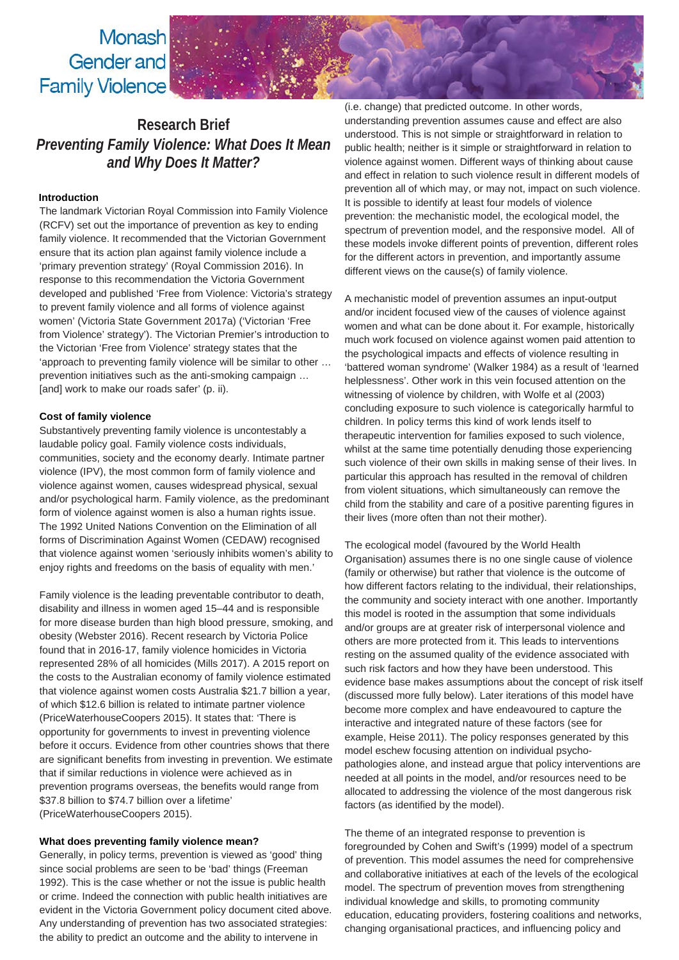Monash Gender and **Family Violence** 

# **Research Brief** *Preventing Family Violence: What Does It Mean and Why Does It Matter?*

### **Introduction**

The landmark Victorian Royal Commission into Family Violence (RCFV) set out the importance of prevention as key to ending family violence. It recommended that the Victorian Government ensure that its action plan against family violence include a 'primary prevention strategy' (Royal Commission 2016). In response to this recommendation the Victoria Government developed and published 'Free from Violence: Victoria's strategy to prevent family violence and all forms of violence against women' (Victoria State Government 2017a) ('Victorian 'Free from Violence' strategy'). The Victorian Premier's introduction to the Victorian 'Free from Violence' strategy states that the 'approach to preventing family violence will be similar to other … prevention initiatives such as the anti-smoking campaign … [and] work to make our roads safer' (p. ii).

## **Cost of family violence**

Substantively preventing family violence is uncontestably a laudable policy goal. Family violence costs individuals, communities, society and the economy dearly. Intimate partner violence (IPV), the most common form of family violence and violence against women, causes widespread physical, sexual and/or psychological harm. Family violence, as the predominant form of violence against women is also a human rights issue. The 1992 United Nations Convention on the Elimination of all forms of Discrimination Against Women (CEDAW) recognised that violence against women 'seriously inhibits women's ability to enjoy rights and freedoms on the basis of equality with men.'

Family violence is the leading preventable contributor to death, disability and illness in women aged 15–44 and is responsible for more disease burden than high blood pressure, smoking, and obesity (Webster 2016). Recent research by Victoria Police found that in 2016-17, family violence homicides in Victoria represented 28% of all homicides (Mills 2017). A 2015 report on the costs to the Australian economy of family violence estimated that violence against women costs Australia \$21.7 billion a year, of which \$12.6 billion is related to intimate partner violence (PriceWaterhouseCoopers 2015). It states that: 'There is opportunity for governments to invest in preventing violence before it occurs. Evidence from other countries shows that there are significant benefits from investing in prevention. We estimate that if similar reductions in violence were achieved as in prevention programs overseas, the benefits would range from \$37.8 billion to \$74.7 billion over a lifetime' (PriceWaterhouseCoopers 2015).

#### **What does preventing family violence mean?**

Generally, in policy terms, prevention is viewed as 'good' thing since social problems are seen to be 'bad' things (Freeman 1992). This is the case whether or not the issue is public health or crime. Indeed the connection with public health initiatives are evident in the Victoria Government policy document cited above. Any understanding of prevention has two associated strategies: the ability to predict an outcome and the ability to intervene in

(i.e. change) that predicted outcome. In other words, understanding prevention assumes cause and effect are also understood. This is not simple or straightforward in relation to public health; neither is it simple or straightforward in relation to violence against women. Different ways of thinking about cause and effect in relation to such violence result in different models of prevention all of which may, or may not, impact on such violence. It is possible to identify at least four models of violence prevention: the mechanistic model, the ecological model, the spectrum of prevention model, and the responsive model. All of these models invoke different points of prevention, different roles for the different actors in prevention, and importantly assume different views on the cause(s) of family violence.

A mechanistic model of prevention assumes an input-output and/or incident focused view of the causes of violence against women and what can be done about it. For example, historically much work focused on violence against women paid attention to the psychological impacts and effects of violence resulting in 'battered woman syndrome' (Walker 1984) as a result of 'learned helplessness'. Other work in this vein focused attention on the witnessing of violence by children, with Wolfe et al (2003) concluding exposure to such violence is categorically harmful to children. In policy terms this kind of work lends itself to therapeutic intervention for families exposed to such violence, whilst at the same time potentially denuding those experiencing such violence of their own skills in making sense of their lives. In particular this approach has resulted in the removal of children from violent situations, which simultaneously can remove the child from the stability and care of a positive parenting figures in their lives (more often than not their mother).

The ecological model (favoured by the World Health Organisation) assumes there is no one single cause of violence (family or otherwise) but rather that violence is the outcome of how different factors relating to the individual, their relationships, the community and society interact with one another. Importantly this model is rooted in the assumption that some individuals and/or groups are at greater risk of interpersonal violence and others are more protected from it. This leads to interventions resting on the assumed quality of the evidence associated with such risk factors and how they have been understood. This evidence base makes assumptions about the concept of risk itself (discussed more fully below). Later iterations of this model have become more complex and have endeavoured to capture the interactive and integrated nature of these factors (see for example, Heise 2011). The policy responses generated by this model eschew focusing attention on individual psychopathologies alone, and instead argue that policy interventions are needed at all points in the model, and/or resources need to be allocated to addressing the violence of the most dangerous risk factors (as identified by the model).

The theme of an integrated response to prevention is foregrounded by Cohen and Swift's (1999) model of a spectrum of prevention. This model assumes the need for comprehensive and collaborative initiatives at each of the levels of the ecological model. The spectrum of prevention moves from strengthening individual knowledge and skills, to promoting community education, educating providers, fostering coalitions and networks, changing organisational practices, and influencing policy and